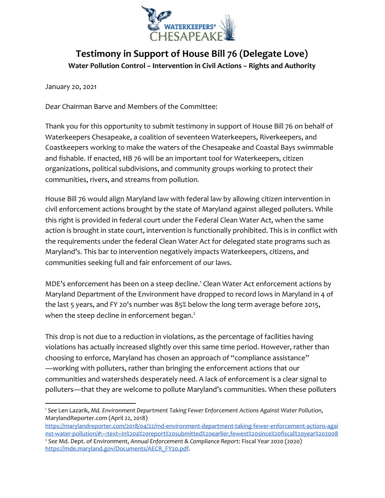

## **Testimony in Support of House Bill 76 (Delegate Love) Water Pollution Control – Intervention in Civil Actions – Rights and Authority**

January 20, 2021

Dear Chairman Barve and Members of the Committee:

Thank you for this opportunity to submit testimony in support of House Bill 76 on behalf of Waterkeepers Chesapeake, a coalition of seventeen Waterkeepers, Riverkeepers, and Coastkeepers working to make the waters of the Chesapeake and Coastal Bays swimmable and fishable. If enacted, HB 76 will be an important tool for Waterkeepers, citizen organizations, political subdivisions, and community groups working to protect their communities, rivers, and streams from pollution.

House Bill 76 would align Maryland law with federal law by allowing citizen intervention in civil enforcement actions brought by the state of Maryland against alleged polluters. While this right is provided in federal court under the Federal Clean Water Act, when the same action is brought in state court, intervention is functionally prohibited. This is in conflict with the requirements under the federal Clean Water Act for delegated state programs such as Maryland's. This bar to intervention negatively impacts Waterkeepers, citizens, and communities seeking full and fair enforcement of our laws.

MDE's enforcement has been on a steep decline.<sup>1</sup> Clean Water Act enforcement actions by Maryland Department of the Environment have dropped to record lows in Maryland in 4 of the last 5 years, and FY 20's number was 85% below the long term average before 2015, when the steep decline in enforcement began.<sup>2</sup>

This drop is not due to a reduction in violations, as the percentage of facilities having violations has actually increased slightly over this same time period. However, rather than choosing to enforce, Maryland has chosen an approach of "compliance assistance" —working with polluters, rather than bringing the enforcement actions that our communities and watersheds desperately need. A lack of enforcement is a clear signal to polluters—that they are welcome to pollute Maryland's communities. When these polluters

<sup>1</sup> *See* Len Lazarik, *Md. Environment Department Taking Fewer Enforcement Actions Against Water Pollution*, MarylandReporter.com (April 22, 2018)

[https://marylandreporter.com/2018/04/22/md-environment-department-taking-fewer-enforcement-actions-agai](https://marylandreporter.com/2018/04/22/md-environment-department-taking-fewer-enforcement-actions-against-water-pollution/#:~:text=In%20a%20report%20submitted%20earlier,fewest%20since%20fiscal%20year%202008.) [nst-water-pollution/#:~:text=In%20a%20report%20submitted%20earlier,fewest%20since%20fiscal%20year%202008](https://marylandreporter.com/2018/04/22/md-environment-department-taking-fewer-enforcement-actions-against-water-pollution/#:~:text=In%20a%20report%20submitted%20earlier,fewest%20since%20fiscal%20year%202008.) <sup>2</sup> *See* Md. Dept. of Environment, *Annual Enforcement & Compliance Report*: Fiscal Year 2020 (2020) [https://mde.maryland.gov/Documents/AECR\\_FY20.pdf](https://mde.maryland.gov/Documents/AECR_FY20.pdf).